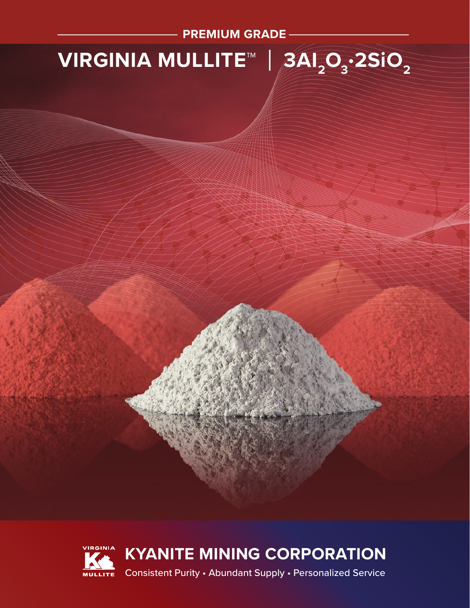